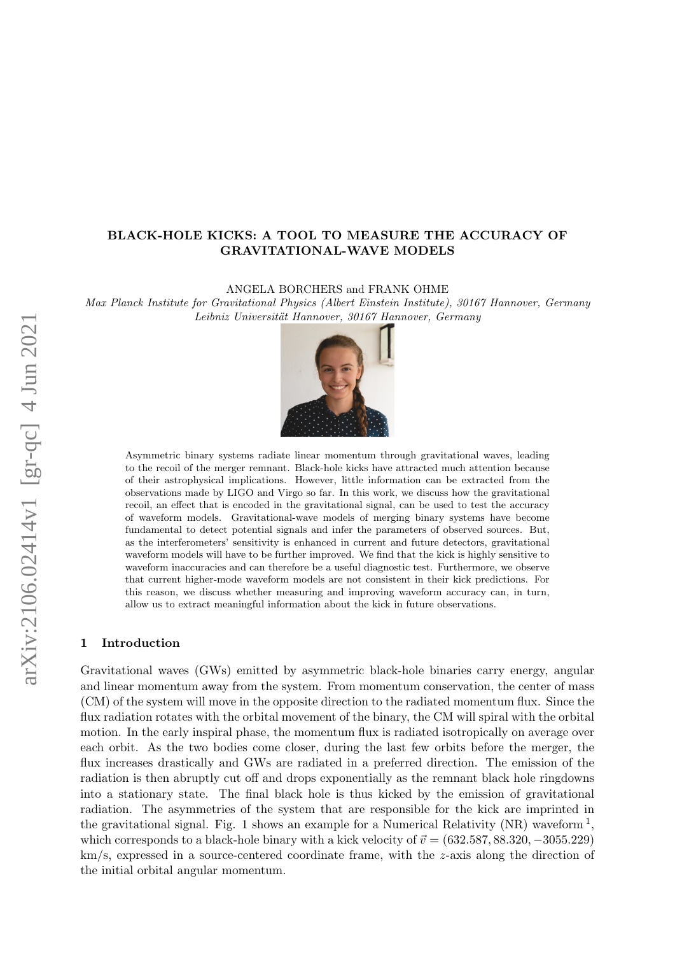# BLACK-HOLE KICKS: A TOOL TO MEASURE THE ACCURACY OF GRAVITATIONAL-WAVE MODELS

ANGELA BORCHERS and FRANK OHME

Max Planck Institute for Gravitational Physics (Albert Einstein Institute), 30167 Hannover, Germany Leibniz Universität Hannover, 30167 Hannover, Germany



Asymmetric binary systems radiate linear momentum through gravitational waves, leading to the recoil of the merger remnant. Black-hole kicks have attracted much attention because of their astrophysical implications. However, little information can be extracted from the observations made by LIGO and Virgo so far. In this work, we discuss how the gravitational recoil, an effect that is encoded in the gravitational signal, can be used to test the accuracy of waveform models. Gravitational-wave models of merging binary systems have become fundamental to detect potential signals and infer the parameters of observed sources. But, as the interferometers' sensitivity is enhanced in current and future detectors, gravitational waveform models will have to be further improved. We find that the kick is highly sensitive to waveform inaccuracies and can therefore be a useful diagnostic test. Furthermore, we observe that current higher-mode waveform models are not consistent in their kick predictions. For this reason, we discuss whether measuring and improving waveform accuracy can, in turn, allow us to extract meaningful information about the kick in future observations.

## 1 Introduction

Gravitational waves (GWs) emitted by asymmetric black-hole binaries carry energy, angular and linear momentum away from the system. From momentum conservation, the center of mass (CM) of the system will move in the opposite direction to the radiated momentum flux. Since the flux radiation rotates with the orbital movement of the binary, the CM will spiral with the orbital motion. In the early inspiral phase, the momentum flux is radiated isotropically on average over each orbit. As the two bodies come closer, during the last few orbits before the merger, the flux increases drastically and GWs are radiated in a preferred direction. The emission of the radiation is then abruptly cut off and drops exponentially as the remnant black hole ringdowns into a stationary state. The final black hole is thus kicked by the emission of gravitational radiation. The asymmetries of the system that are responsible for the kick are imprinted in the gravitational signal. Fig. [1](#page-3-0) shows an example for a Numerical Relativity (NR) waveform  $<sup>1</sup>$ ,</sup> which corresponds to a black-hole binary with a kick velocity of  $\vec{v} = (632.587, 88.320, -3055.229)$ km/s, expressed in a source-centered coordinate frame, with the z-axis along the direction of the initial orbital angular momentum.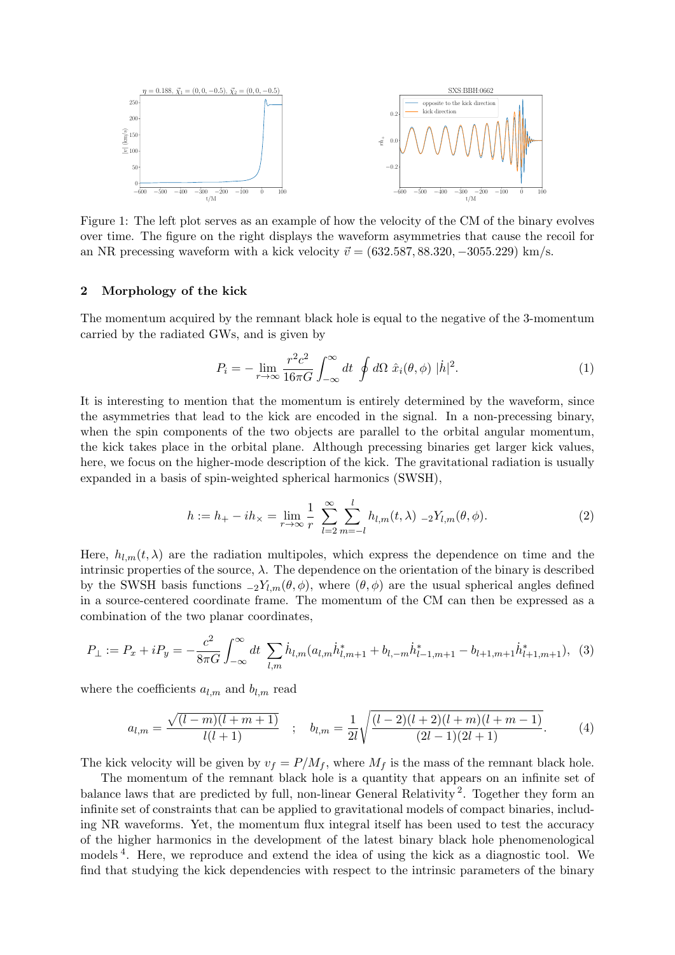<span id="page-1-0"></span>

Figure 1: The left plot serves as an example of how the velocity of the CM of the binary evolves over time. The figure on the right displays the waveform asymmetries that cause the recoil for an NR precessing waveform with a kick velocity  $\vec{v} = (632.587, 88.320, -3055.229)$  km/s.

## 2 Morphology of the kick

The momentum acquired by the remnant black hole is equal to the negative of the 3-momentum carried by the radiated GWs, and is given by

$$
P_i = -\lim_{r \to \infty} \frac{r^2 c^2}{16\pi G} \int_{-\infty}^{\infty} dt \oint d\Omega \ \hat{x}_i(\theta, \phi) \ |\dot{h}|^2. \tag{1}
$$

It is interesting to mention that the momentum is entirely determined by the waveform, since the asymmetries that lead to the kick are encoded in the signal. In a non-precessing binary, when the spin components of the two objects are parallel to the orbital angular momentum, the kick takes place in the orbital plane. Although precessing binaries get larger kick values, here, we focus on the higher-mode description of the kick. The gravitational radiation is usually expanded in a basis of spin-weighted spherical harmonics (SWSH),

$$
h := h_{+} - ih_{\times} = \lim_{r \to \infty} \frac{1}{r} \sum_{l=2}^{\infty} \sum_{m=-l}^{l} h_{l,m}(t,\lambda) -2Y_{l,m}(\theta,\phi).
$$
 (2)

Here,  $h_{lm}(t, \lambda)$  are the radiation multipoles, which express the dependence on time and the intrinsic properties of the source,  $\lambda$ . The dependence on the orientation of the binary is described by the SWSH basis functions  $_{-2}Y_{l,m}(\theta,\phi)$ , where  $(\theta,\phi)$  are the usual spherical angles defined in a source-centered coordinate frame. The momentum of the CM can then be expressed as a combination of the two planar coordinates,

<span id="page-1-1"></span>
$$
P_{\perp} := P_x + iP_y = -\frac{c^2}{8\pi G} \int_{-\infty}^{\infty} dt \sum_{l,m} \dot{h}_{l,m} (a_{l,m} \dot{h}_{l,m+1}^* + b_{l,-m} \dot{h}_{l-1,m+1}^* - b_{l+1,m+1} \dot{h}_{l+1,m+1}^*), \tag{3}
$$

where the coefficients  $a_{l,m}$  and  $b_{l,m}$  read

$$
a_{l,m} = \frac{\sqrt{(l-m)(l+m+1)}}{l(l+1)} \quad ; \quad b_{l,m} = \frac{1}{2l} \sqrt{\frac{(l-2)(l+2)(l+m)(l+m-1)}{(2l-1)(2l+1)}}.
$$
 (4)

The kick velocity will be given by  $v_f = P/M_f$ , where  $M_f$  is the mass of the remnant black hole.

The momentum of the remnant black hole is a quantity that appears on an infinite set of balance laws that are predicted by full, non-linear General Relativity<sup>[2](#page-3-1)</sup>. Together they form an infinite set of constraints that can be applied to gravitational models of compact binaries, including NR waveforms. Yet, the momentum flux integral itself has been used to test the accuracy of the higher harmonics in the development of the latest binary black hole phenomenological models [4](#page-3-2) . Here, we reproduce and extend the idea of using the kick as a diagnostic tool. We find that studying the kick dependencies with respect to the intrinsic parameters of the binary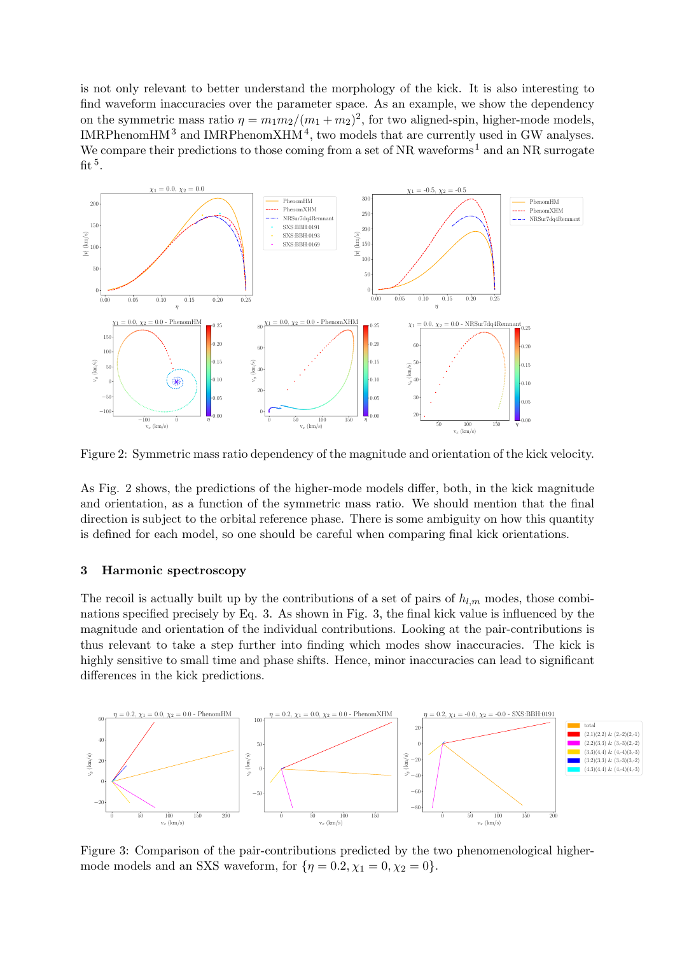is not only relevant to better understand the morphology of the kick. It is also interesting to find waveform inaccuracies over the parameter space. As an example, we show the dependency on the symmetric mass ratio  $\eta = m_1 m_2/(m_1 + m_2)^2$ , for two aligned-spin, higher-mode models, IMRPhenomHM<sup>[3](#page-3-3)</sup> and IMRPhenomXHM<sup>[4](#page-3-2)</sup>, two models that are currently used in GW analyses. We compare their predictions to those coming from a set of  $NR$  waveforms<sup>[1](#page-3-0)</sup> and an  $NR$  surrogate fit  $^5$  $^5$ .

<span id="page-2-0"></span>

Figure 2: Symmetric mass ratio dependency of the magnitude and orientation of the kick velocity.

As Fig. [2](#page-2-0) shows, the predictions of the higher-mode models differ, both, in the kick magnitude and orientation, as a function of the symmetric mass ratio. We should mention that the final direction is subject to the orbital reference phase. There is some ambiguity on how this quantity is defined for each model, so one should be careful when comparing final kick orientations.

## 3 Harmonic spectroscopy

The recoil is actually built up by the contributions of a set of pairs of  $h_{l,m}$  modes, those combinations specified precisely by Eq. [3.](#page-1-1) As shown in Fig. [3,](#page-2-1) the final kick value is influenced by the magnitude and orientation of the individual contributions. Looking at the pair-contributions is thus relevant to take a step further into finding which modes show inaccuracies. The kick is highly sensitive to small time and phase shifts. Hence, minor inaccuracies can lead to significant differences in the kick predictions.

<span id="page-2-1"></span>

Figure 3: Comparison of the pair-contributions predicted by the two phenomenological highermode models and an SXS waveform, for  $\{\eta = 0.2, \chi_1 = 0, \chi_2 = 0\}.$